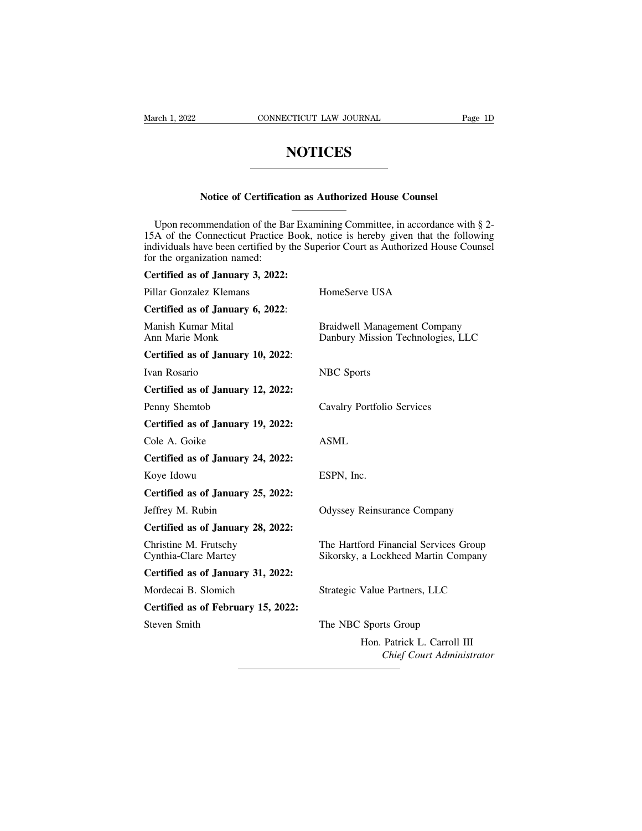## **NOTICES**

# **NOTICES**<br>
Notice of Certification as Authorized House Counsel

NOTICES<br>Notice of Certification as Authorized House Counsel<br>Upon recommendation of the Bar Examining Committee, in accordance with § 2-<br>A of the Connecticut Practice Book, notice is hereby given that the following<br>dividual Notice of Certification as Authorized House Counsel<br>
Upon recommendation of the Bar Examining Committee, in accordance with § 2-<br>
15A of the Connecticut Practice Book, notice is hereby given that the following<br>
individuals Notice of Certification as Authorized House Counsel<br>Upon recommendation of the Bar Examining Committee, in accordance with § 2-<br>15A of the Connecticut Practice Book, notice is hereby given that the following<br>individuals ha Notice of Certificati<br>Upon recommendation of the Ba<br>15A of the Connecticut Practice<br>individuals have been certified by<br>for the organization named:<br>Certified as of January 3, 2022: Troute of Certified as a<br>
Upon recommendation of the Bar Exam<br>
15A of the Connecticut Practice Book, r<br>
individuals have been certified by the Sup<br>
for the organization named:<br>
Certified as of January 3, 2022:<br>
Pillar Gonz

| for the organization named:                   | Upon recommendation of the Bar Examining Committee, in accordance with § 2-<br>15A of the Connecticut Practice Book, notice is hereby given that the following<br>individuals have been certified by the Superior Court as Authorized House Counsel |
|-----------------------------------------------|-----------------------------------------------------------------------------------------------------------------------------------------------------------------------------------------------------------------------------------------------------|
| Certified as of January 3, 2022:              |                                                                                                                                                                                                                                                     |
| Pillar Gonzalez Klemans                       | HomeServe USA                                                                                                                                                                                                                                       |
| Certified as of January 6, 2022:              |                                                                                                                                                                                                                                                     |
| Manish Kumar Mital<br>Ann Marie Monk          | <b>Braidwell Management Company</b><br>Danbury Mission Technologies, LLC                                                                                                                                                                            |
| Certified as of January 10, 2022:             |                                                                                                                                                                                                                                                     |
| Ivan Rosario                                  | <b>NBC</b> Sports                                                                                                                                                                                                                                   |
| Certified as of January 12, 2022:             |                                                                                                                                                                                                                                                     |
| Penny Shemtob                                 | Cavalry Portfolio Services                                                                                                                                                                                                                          |
| Certified as of January 19, 2022:             |                                                                                                                                                                                                                                                     |
| Cole A. Goike                                 | <b>ASML</b>                                                                                                                                                                                                                                         |
| Certified as of January 24, 2022:             |                                                                                                                                                                                                                                                     |
| Koye Idowu                                    | ESPN, Inc.                                                                                                                                                                                                                                          |
| Certified as of January 25, 2022:             |                                                                                                                                                                                                                                                     |
| Jeffrey M. Rubin                              | <b>Odyssey Reinsurance Company</b>                                                                                                                                                                                                                  |
| Certified as of January 28, 2022:             |                                                                                                                                                                                                                                                     |
| Christine M. Frutschy<br>Cynthia-Clare Martey | The Hartford Financial Services Group<br>Sikorsky, a Lockheed Martin Company                                                                                                                                                                        |
| Certified as of January 31, 2022:             |                                                                                                                                                                                                                                                     |
| Mordecai B. Slomich                           | Strategic Value Partners, LLC                                                                                                                                                                                                                       |
| Certified as of February 15, 2022:            |                                                                                                                                                                                                                                                     |
| <b>Steven Smith</b>                           | The NBC Sports Group                                                                                                                                                                                                                                |
|                                               | Hon. Patrick L. Carroll III<br>Chief Court Administrator                                                                                                                                                                                            |
|                                               |                                                                                                                                                                                                                                                     |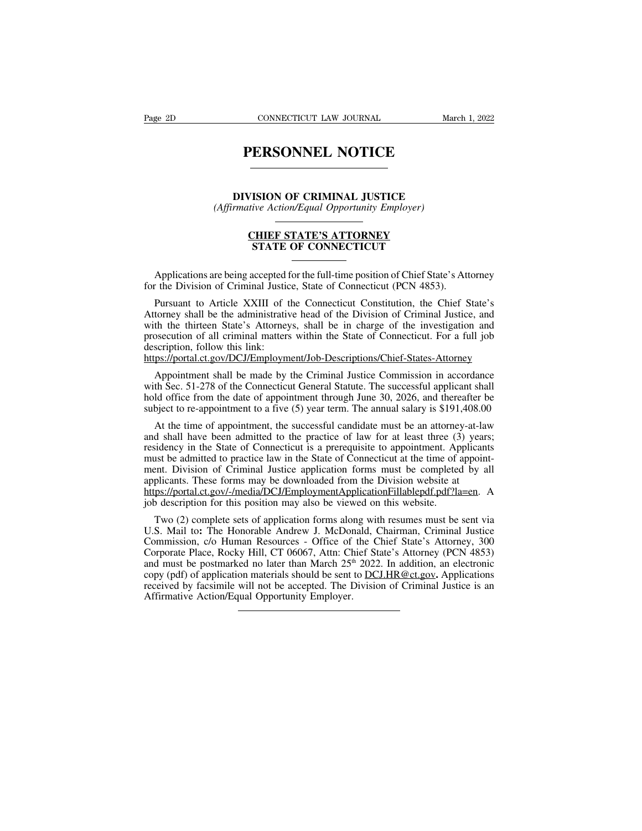## **PERSONNEL NOTICE DERSONNEL NOTICE**<br>DIVISION OF CRIMINAL JUSTICE<br>DIVISION OF CRIMINAL JUSTICE<br>Francive Action/Equal Opportunity Employer) **PERSONNEL NOTICE**<br>
DIVISION OF CRIMINAL JUSTICE<br>
(Affirmative Action/Equal Opportunity Employer)<br>
CHIEF STATE'S ATTOPNEY

## VISION OF CRIMINAL JUSTICE<br>
utive Action/Equal Opportunity Employer)<br> **CHIEF STATE'S ATTORNEY<br>
STATE OF CONNECTICUT ISION OF CRIMINAL JUSTICE**<br>
ive Action/Equal Opportunity Employer)<br> **CHIEF STATE'S ATTORNEY<br>
STATE OF CONNECTICUT**

(Affirmative Action/Equal Opportunity Employer)<br> **CHIEF STATE'S ATTORNEY**<br> **CHIEF STATE'S ATTORNEY**<br>
Applications are being accepted for the full-time position of Chief State's Attorney<br>
The Division of Criminal Justice, For the Division of Criminal Justice, State of Connecticut (PCN 4853).<br>
Applications are being accepted for the full-time position of Chief State's Att<br>
for the Division of Criminal Justice, State of Connecticut (PCN 4853)

**CHIEF STATE'S ATTORNEY**<br> **STATE OF CONNECTICUT**<br> **Applications are being accepted for the full-time position of Chief State's Attorney<br>
the Division of Criminal Justice, State of Connecticut (PCN 4853).<br>
Pursuant to Artic STATE OF CONNECTICUT**<br>
Applications are being accepted for the full-time position of Chief State's Attorney<br>
for the Division of Criminal Justice, State of Connecticut (PCN 4853).<br>
Pursuant to Article XXIII of the Connect Applications are being accepted for the full-time position of Chief State's Attorney<br>for the Division of Criminal Justice, State of Connecticut (PCN 4853).<br>Pursuant to Article XXIII of the Connecticut Constitution, the Chi Applications are being accepted for the full-time position of Chief State's Attorney<br>for the Division of Criminal Justice, State of Connecticut (PCN 4853).<br>Pursuant to Article XXIII of the Connecticut Constitution, the Chi Applications are being accepted f<br>for the Division of Criminal Justic<br>Pursuant to Article XXIII of t<br>Attorney shall be the administrativ<br>with the thirteen State's Attorney<br>prosecution of all criminal matters<br>description, f Pursuant to Article XXIII of the Connecticut Constitution, the Chief State's<br>torney shall be the administrative head of the Division of Criminal Justice, and<br>th the thirteen State's Attorneys, shall be in charge of the inv Attorney shall be the administrative head of the Division of Criminal Justice, and<br>with the thirteen State's Attorneys, shall be in charge of the investigation and<br>prosecution of all criminal matters within the State of Co

https://portal.ct.gov/DCJ/Employment/Job-Descriptions/Chief-States-Attorney

with the thirteen State's Attorneys, shall be in charge of the investigation and<br>prosecution of all criminal matters within the State of Connecticut. For a full job<br>description, follow this link:<br>https://portal.ct.gov/DCJ/ prosecution of all criminal matters within the State of Connecticut. For a full job<br>description, follow this link:<br>https://portal.ct.gov/DCJ/Employment/Job-Descriptions/Chief-States-Attorney<br>Appointment shall be made by th sexploriance of appointment/Job-Descriptions/Chief-States-Attorney<br>Appointment shall be made by the Criminal Justice Commission in accordance<br>th Sec. 51-278 of the Connecticut General Statute. The successful applicant shal

Appointment shall be made by the Criminal Justice Commission in accordance<br>with Sec. 51-278 of the Connecticut General Statute. The successful applicant shall<br>hold office from the date of appointment through June 30, 2026, Appointment shall be made by the Criminal Justice Commission in accordance<br>with Sec. 51-278 of the Connecticut General Statute. The successful applicant shall<br>hold office from the date of appointment through June 30, 2026, with Sec. 51-278 of the Connecticut General Statute. The successful applicant shall<br>hold office from the date of appointment through June 30, 2026, and thereafter be<br>subject to re-appointment to a five (5) year term. The a hold office from the date of appointment through June 30, 2026, and thereafter be subject to re-appointment to a five (5) year term. The annual salary is \$191,408.00 At the time of appointment, the successful candidate mus subject to re-appointment to a five (5) year term. The annual salary is \$191,408.0<br>At the time of appointment, the successful candidate must be an attorney-at-la<br>and shall have been admitted to the practice of law for at l At the time of appointment, the successful candidate must be an attorney-at-law<br>and shall have been admitted to the practice of law for at least three (3) years;<br>residency in the State of Connecticut is a prerequisite to a At the time of appointment, the successiti candidate must be an attornet<br>and shall have been admitted to the practice of law for at least three (3<br>residency in the State of Connecticut is a prerequisite to appointment. Ap<br> sidency in the State of Connecticut is a prerequisite to appointment. Applicants<br>ast be admitted to practice law in the State of Connecticut at the time of appoint-<br>ent. Division of Criminal Justice application forms must

must be admitted to practice law in the State of Connecticut at the time of appointment. Division of Criminal Justice application forms must be completed by all applicants. These forms may be downloaded from the Division w ment. Division of Criminal Justice application forms must be completed by all<br>applicants. These forms may be downloaded from the Division website at<br>https://portal.ct.gov/-/media/DCJ/EmploymentApplicationFillablepdf.pdf?la applicants. These forms may be downloaded from the Division website at<br>https://portal.ct.gov/-/media/DCJ/EmploymentApplicationFillablepdf.pdf?la=en. A<br>job description for this position may also be viewed on this website.<br>T https://portal.ct.gov/-/media/DCJ/EmploymentApplicationFillablepdf.pdf?la=en. A<br>job description for this position may also be viewed on this website.<br>Two (2) complete sets of application forms along with resumes must be se job description for this position may also be viewed on this website.<br>Two (2) complete sets of application forms along with resumes must be sent via<br>U.S. Mail to: The Honorable Andrew J. McDonald, Chairman, Criminal Justic Two (2) complete sets of application forms along with resumes must be sent via U.S. Mail to: The Honorable Andrew J. McDonald, Chairman, Criminal Justice Commission, *c/o* Human Resources - Office of the Chief State's Att Two (2) complete sets of application forms along U.S. Mail to: The Honorable Andrew J. McDor Commission, c/o Human Resources - Office of Corporate Place, Rocky Hill, CT 06067, Attn: Chand must be postmarked no later than